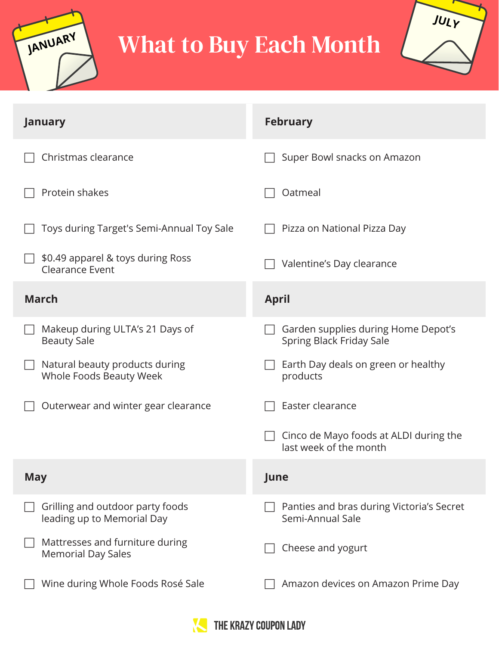

## What to Buy Each Month



| <b>January</b>                                                 | <b>February</b>                                                  |
|----------------------------------------------------------------|------------------------------------------------------------------|
| Christmas clearance                                            | Super Bowl snacks on Amazon                                      |
| Protein shakes                                                 | Oatmeal                                                          |
| Toys during Target's Semi-Annual Toy Sale                      | Pizza on National Pizza Day                                      |
| \$0.49 apparel & toys during Ross<br>Clearance Event           | Valentine's Day clearance                                        |
| <b>March</b>                                                   | <b>April</b>                                                     |
| Makeup during ULTA's 21 Days of<br><b>Beauty Sale</b>          | Garden supplies during Home Depot's<br>Spring Black Friday Sale  |
| Natural beauty products during<br>Whole Foods Beauty Week      | Earth Day deals on green or healthy<br>products                  |
| Outerwear and winter gear clearance                            | Easter clearance                                                 |
|                                                                | Cinco de Mayo foods at ALDI during the<br>last week of the month |
| <b>May</b>                                                     | June                                                             |
| Grilling and outdoor party foods<br>leading up to Memorial Day | Panties and bras during Victoria's Secret<br>Semi-Annual Sale    |
| Mattresses and furniture during<br><b>Memorial Day Sales</b>   | Cheese and yogurt                                                |
| Wine during Whole Foods Rosé Sale                              | Amazon devices on Amazon Prime Day                               |